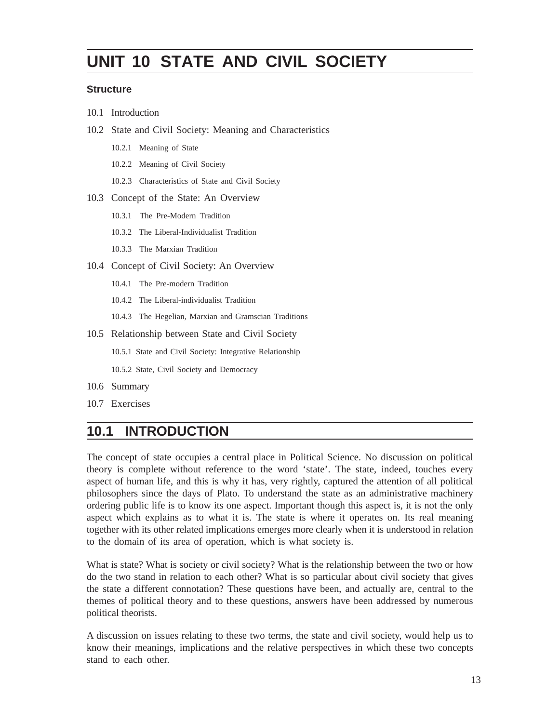# **UNIT 10 STATE AND CIVIL SOCIETY**

#### **Structure**

- 10.1 Introduction
- 10.2 State and Civil Society: Meaning and Characteristics
	- 10.2.1 Meaning of State
	- 10.2.2 Meaning of Civil Society
	- 10.2.3 Characteristics of State and Civil Society
- 10.3 Concept of the State: An Overview
	- 10.3.1 The Pre-Modern Tradition
	- 10.3.2 The Liberal-Individualist Tradition
	- 10.3.3 The Marxian Tradition
- 10.4 Concept of Civil Society: An Overview
	- 10.4.1 The Pre-modern Tradition
	- 10.4.2 The Liberal-individualist Tradition
	- 10.4.3 The Hegelian, Marxian and Gramscian Traditions
- 10.5 Relationship between State and Civil Society

10.5.1 State and Civil Society: Integrative Relationship

10.5.2 State, Civil Society and Democracy

- 10.6 Summary
- 10.7 Exercises

### **10.1 INTRODUCTION**

The concept of state occupies a central place in Political Science. No discussion on political theory is complete without reference to the word 'state'. The state, indeed, touches every aspect of human life, and this is why it has, very rightly, captured the attention of all political philosophers since the days of Plato. To understand the state as an administrative machinery ordering public life is to know its one aspect. Important though this aspect is, it is not the only aspect which explains as to what it is. The state is where it operates on. Its real meaning together with its other related implications emerges more clearly when it is understood in relation to the domain of its area of operation, which is what society is.

What is state? What is society or civil society? What is the relationship between the two or how do the two stand in relation to each other? What is so particular about civil society that gives the state a different connotation? These questions have been, and actually are, central to the themes of political theory and to these questions, answers have been addressed by numerous political theorists.

A discussion on issues relating to these two terms, the state and civil society, would help us to know their meanings, implications and the relative perspectives in which these two concepts stand to each other.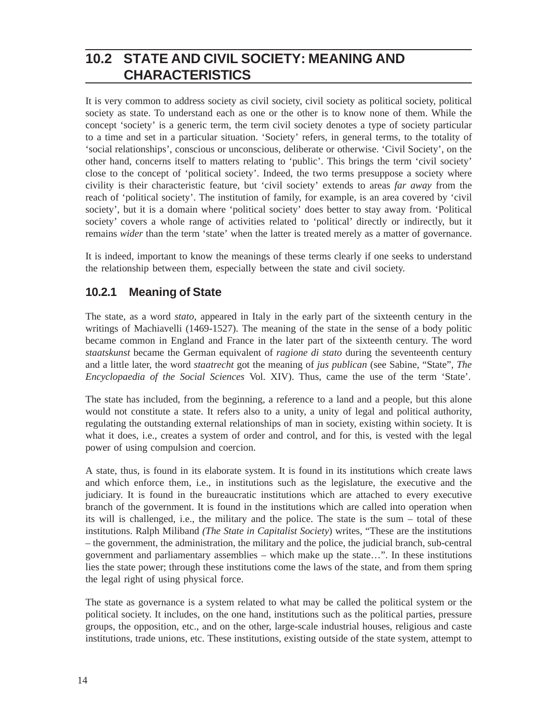## **10.2 STATE AND CIVIL SOCIETY: MEANING AND CHARACTERISTICS**

It is very common to address society as civil society, civil society as political society, political society as state. To understand each as one or the other is to know none of them. While the concept 'society' is a generic term, the term civil society denotes a type of society particular to a time and set in a particular situation. 'Society' refers, in general terms, to the totality of 'social relationships', conscious or unconscious, deliberate or otherwise. 'Civil Society', on the other hand, concerns itself to matters relating to 'public'. This brings the term 'civil society' close to the concept of 'political society'. Indeed, the two terms presuppose a society where civility is their characteristic feature, but 'civil society' extends to areas *far away* from the reach of 'political society'. The institution of family, for example, is an area covered by 'civil society', but it is a domain where 'political society' does better to stay away from. 'Political society' covers a whole range of activities related to 'political' directly or indirectly, but it remains *wider* than the term 'state' when the latter is treated merely as a matter of governance.

It is indeed, important to know the meanings of these terms clearly if one seeks to understand the relationship between them, especially between the state and civil society.

#### **10.2.1 Meaning of State**

The state, as a word *stato*, appeared in Italy in the early part of the sixteenth century in the writings of Machiavelli (1469-1527). The meaning of the state in the sense of a body politic became common in England and France in the later part of the sixteenth century. The word *staatskunst* became the German equivalent of *ragione di stato* during the seventeenth century and a little later, the word *staatrecht* got the meaning of *jus publican* (see Sabine, "State", *The Encyclopaedia of the Social Sciences* Vol. XIV). Thus, came the use of the term 'State'.

The state has included, from the beginning, a reference to a land and a people, but this alone would not constitute a state. It refers also to a unity, a unity of legal and political authority, regulating the outstanding external relationships of man in society, existing within society. It is what it does, i.e., creates a system of order and control, and for this, is vested with the legal power of using compulsion and coercion.

A state, thus, is found in its elaborate system. It is found in its institutions which create laws and which enforce them, i.e., in institutions such as the legislature, the executive and the judiciary. It is found in the bureaucratic institutions which are attached to every executive branch of the government. It is found in the institutions which are called into operation when its will is challenged, i.e., the military and the police. The state is the sum – total of these institutions. Ralph Miliband *(The State in Capitalist Society*) writes, "These are the institutions – the government, the administration, the military and the police, the judicial branch, sub-central government and parliamentary assemblies – which make up the state…". In these institutions lies the state power; through these institutions come the laws of the state, and from them spring the legal right of using physical force.

The state as governance is a system related to what may be called the political system or the political society. It includes, on the one hand, institutions such as the political parties, pressure groups, the opposition, etc., and on the other, large-scale industrial houses, religious and caste institutions, trade unions, etc. These institutions, existing outside of the state system, attempt to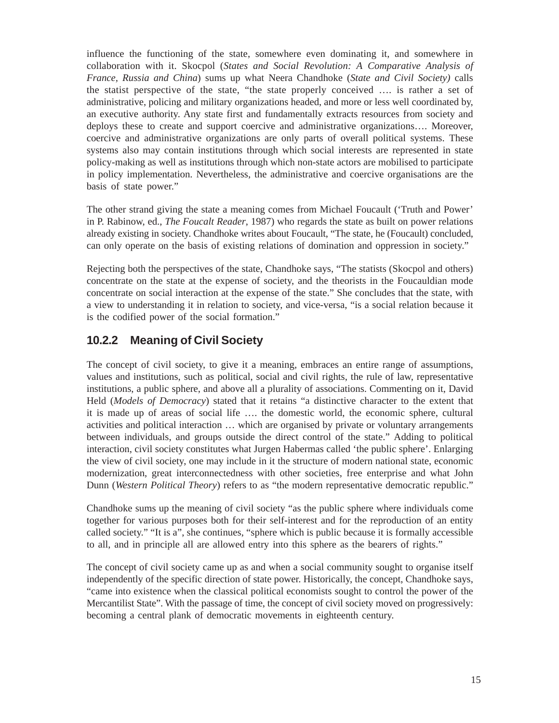influence the functioning of the state, somewhere even dominating it, and somewhere in collaboration with it. Skocpol (*States and Social Revolution: A Comparative Analysis of France, Russia and China*) sums up what Neera Chandhoke (*State and Civil Society)* calls the statist perspective of the state, "the state properly conceived …. is rather a set of administrative, policing and military organizations headed, and more or less well coordinated by, an executive authority. Any state first and fundamentally extracts resources from society and deploys these to create and support coercive and administrative organizations…. Moreover, coercive and administrative organizations are only parts of overall political systems. These systems also may contain institutions through which social interests are represented in state policy-making as well as institutions through which non-state actors are mobilised to participate in policy implementation. Nevertheless, the administrative and coercive organisations are the basis of state power."

The other strand giving the state a meaning comes from Michael Foucault ('Truth and Power' in P. Rabinow, ed., *The Foucalt Reader*, 1987) who regards the state as built on power relations already existing in society. Chandhoke writes about Foucault, "The state, he (Foucault) concluded, can only operate on the basis of existing relations of domination and oppression in society."

Rejecting both the perspectives of the state, Chandhoke says, "The statists (Skocpol and others) concentrate on the state at the expense of society, and the theorists in the Foucauldian mode concentrate on social interaction at the expense of the state." She concludes that the state, with a view to understanding it in relation to society, and vice-versa, "is a social relation because it is the codified power of the social formation."

#### **10.2.2 Meaning of Civil Society**

The concept of civil society, to give it a meaning, embraces an entire range of assumptions, values and institutions, such as political, social and civil rights, the rule of law, representative institutions, a public sphere, and above all a plurality of associations. Commenting on it, David Held (*Models of Democracy*) stated that it retains "a distinctive character to the extent that it is made up of areas of social life …. the domestic world, the economic sphere, cultural activities and political interaction … which are organised by private or voluntary arrangements between individuals, and groups outside the direct control of the state." Adding to political interaction, civil society constitutes what Jurgen Habermas called 'the public sphere'. Enlarging the view of civil society, one may include in it the structure of modern national state, economic modernization, great interconnectedness with other societies, free enterprise and what John Dunn (*Western Political Theory*) refers to as "the modern representative democratic republic."

Chandhoke sums up the meaning of civil society "as the public sphere where individuals come together for various purposes both for their self-interest and for the reproduction of an entity called society." "It is a", she continues, "sphere which is public because it is formally accessible to all, and in principle all are allowed entry into this sphere as the bearers of rights."

The concept of civil society came up as and when a social community sought to organise itself independently of the specific direction of state power. Historically, the concept, Chandhoke says, "came into existence when the classical political economists sought to control the power of the Mercantilist State". With the passage of time, the concept of civil society moved on progressively: becoming a central plank of democratic movements in eighteenth century.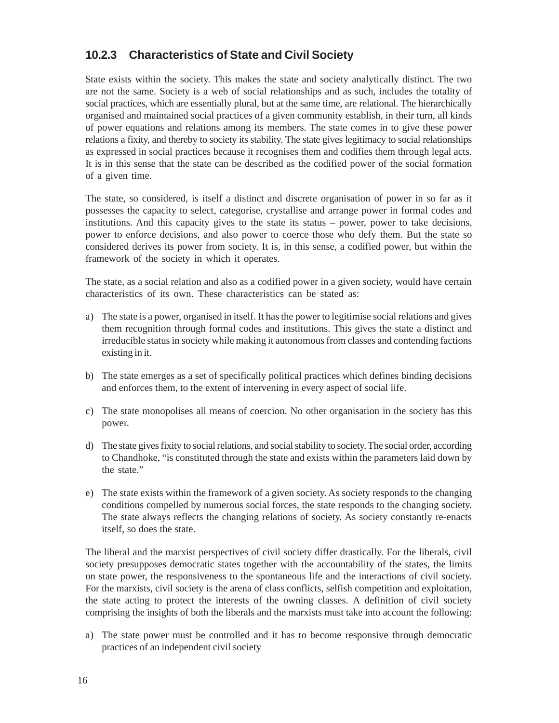#### **10.2.3 Characteristics of State and Civil Society**

State exists within the society. This makes the state and society analytically distinct. The two are not the same. Society is a web of social relationships and as such, includes the totality of social practices, which are essentially plural, but at the same time, are relational. The hierarchically organised and maintained social practices of a given community establish, in their turn, all kinds of power equations and relations among its members. The state comes in to give these power relations a fixity, and thereby to society its stability. The state gives legitimacy to social relationships as expressed in social practices because it recognises them and codifies them through legal acts. It is in this sense that the state can be described as the codified power of the social formation of a given time.

The state, so considered, is itself a distinct and discrete organisation of power in so far as it possesses the capacity to select, categorise, crystallise and arrange power in formal codes and institutions. And this capacity gives to the state its status – power, power to take decisions, power to enforce decisions, and also power to coerce those who defy them. But the state so considered derives its power from society. It is, in this sense, a codified power, but within the framework of the society in which it operates.

The state, as a social relation and also as a codified power in a given society, would have certain characteristics of its own. These characteristics can be stated as:

- a) The state is a power, organised in itself. It has the power to legitimise social relations and gives them recognition through formal codes and institutions. This gives the state a distinct and irreducible status in society while making it autonomous from classes and contending factions existing in it.
- b) The state emerges as a set of specifically political practices which defines binding decisions and enforces them, to the extent of intervening in every aspect of social life.
- c) The state monopolises all means of coercion. No other organisation in the society has this power.
- d) The state gives fixity to social relations, and social stability to society. The social order, according to Chandhoke, "is constituted through the state and exists within the parameters laid down by the state."
- e) The state exists within the framework of a given society. As society responds to the changing conditions compelled by numerous social forces, the state responds to the changing society. The state always reflects the changing relations of society. As society constantly re-enacts itself, so does the state.

The liberal and the marxist perspectives of civil society differ drastically. For the liberals, civil society presupposes democratic states together with the accountability of the states, the limits on state power, the responsiveness to the spontaneous life and the interactions of civil society. For the marxists, civil society is the arena of class conflicts, selfish competition and exploitation, the state acting to protect the interests of the owning classes. A definition of civil society comprising the insights of both the liberals and the marxists must take into account the following:

a) The state power must be controlled and it has to become responsive through democratic practices of an independent civil society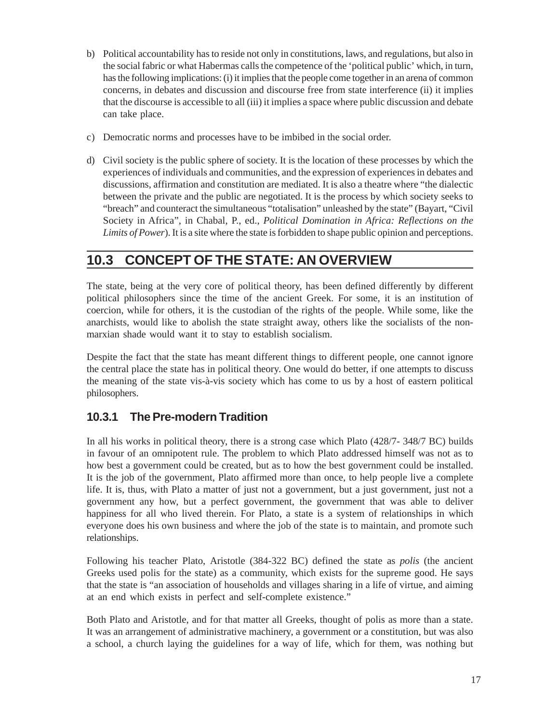- b) Political accountability has to reside not only in constitutions, laws, and regulations, but also in the social fabric or what Habermas calls the competence of the 'political public' which, in turn, has the following implications: (i) it implies that the people come together in an arena of common concerns, in debates and discussion and discourse free from state interference (ii) it implies that the discourse is accessible to all (iii) it implies a space where public discussion and debate can take place.
- c) Democratic norms and processes have to be imbibed in the social order.
- d) Civil society is the public sphere of society. It is the location of these processes by which the experiences of individuals and communities, and the expression of experiences in debates and discussions, affirmation and constitution are mediated. It is also a theatre where "the dialectic between the private and the public are negotiated. It is the process by which society seeks to "breach" and counteract the simultaneous "totalisation" unleashed by the state" (Bayart, "Civil Society in Africa", in Chabal, P., ed., *Political Domination in Africa: Reflections on the Limits of Power*). It is a site where the state is forbidden to shape public opinion and perceptions.

## **10.3 CONCEPT OF THE STATE: AN OVERVIEW**

The state, being at the very core of political theory, has been defined differently by different political philosophers since the time of the ancient Greek. For some, it is an institution of coercion, while for others, it is the custodian of the rights of the people. While some, like the anarchists, would like to abolish the state straight away, others like the socialists of the nonmarxian shade would want it to stay to establish socialism.

Despite the fact that the state has meant different things to different people, one cannot ignore the central place the state has in political theory. One would do better, if one attempts to discuss the meaning of the state vis-à-vis society which has come to us by a host of eastern political philosophers.

### **10.3.1 The Pre-modern Tradition**

In all his works in political theory, there is a strong case which Plato (428/7- 348/7 BC) builds in favour of an omnipotent rule. The problem to which Plato addressed himself was not as to how best a government could be created, but as to how the best government could be installed. It is the job of the government, Plato affirmed more than once, to help people live a complete life. It is, thus, with Plato a matter of just not a government, but a just government, just not a government any how, but a perfect government, the government that was able to deliver happiness for all who lived therein. For Plato, a state is a system of relationships in which everyone does his own business and where the job of the state is to maintain, and promote such relationships.

Following his teacher Plato, Aristotle (384-322 BC) defined the state as *polis* (the ancient Greeks used polis for the state) as a community, which exists for the supreme good. He says that the state is "an association of households and villages sharing in a life of virtue, and aiming at an end which exists in perfect and self-complete existence."

Both Plato and Aristotle, and for that matter all Greeks, thought of polis as more than a state. It was an arrangement of administrative machinery, a government or a constitution, but was also a school, a church laying the guidelines for a way of life, which for them, was nothing but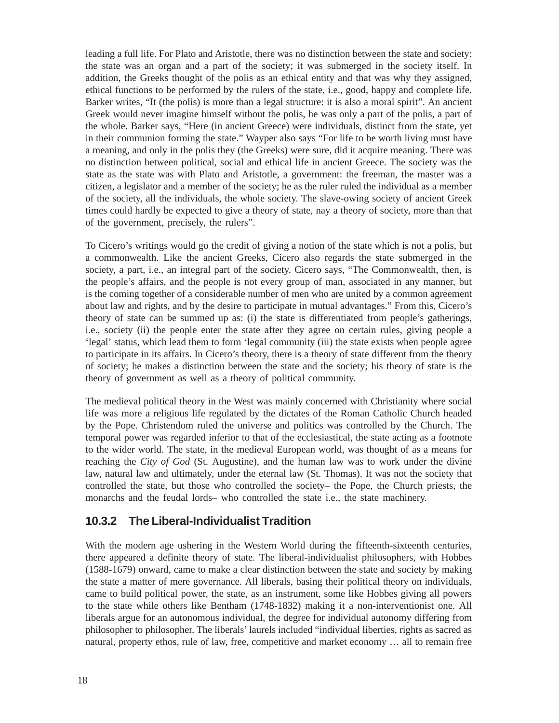leading a full life. For Plato and Aristotle, there was no distinction between the state and society: the state was an organ and a part of the society; it was submerged in the society itself. In addition, the Greeks thought of the polis as an ethical entity and that was why they assigned, ethical functions to be performed by the rulers of the state, i.e., good, happy and complete life. Barker writes, "It (the polis) is more than a legal structure: it is also a moral spirit". An ancient Greek would never imagine himself without the polis, he was only a part of the polis, a part of the whole. Barker says, "Here (in ancient Greece) were individuals, distinct from the state, yet in their communion forming the state." Wayper also says "For life to be worth living must have a meaning, and only in the polis they (the Greeks) were sure, did it acquire meaning. There was no distinction between political, social and ethical life in ancient Greece. The society was the state as the state was with Plato and Aristotle, a government: the freeman, the master was a citizen, a legislator and a member of the society; he as the ruler ruled the individual as a member of the society, all the individuals, the whole society. The slave-owing society of ancient Greek times could hardly be expected to give a theory of state, nay a theory of society, more than that of the government, precisely, the rulers".

To Cicero's writings would go the credit of giving a notion of the state which is not a polis, but a commonwealth. Like the ancient Greeks, Cicero also regards the state submerged in the society, a part, i.e., an integral part of the society. Cicero says, "The Commonwealth, then, is the people's affairs, and the people is not every group of man, associated in any manner, but is the coming together of a considerable number of men who are united by a common agreement about law and rights, and by the desire to participate in mutual advantages." From this, Cicero's theory of state can be summed up as: (i) the state is differentiated from people's gatherings, i.e., society (ii) the people enter the state after they agree on certain rules, giving people a 'legal' status, which lead them to form 'legal community (iii) the state exists when people agree to participate in its affairs. In Cicero's theory, there is a theory of state different from the theory of society; he makes a distinction between the state and the society; his theory of state is the theory of government as well as a theory of political community.

The medieval political theory in the West was mainly concerned with Christianity where social life was more a religious life regulated by the dictates of the Roman Catholic Church headed by the Pope. Christendom ruled the universe and politics was controlled by the Church. The temporal power was regarded inferior to that of the ecclesiastical, the state acting as a footnote to the wider world. The state, in the medieval European world, was thought of as a means for reaching the *City of God* (St. Augustine), and the human law was to work under the divine law, natural law and ultimately, under the eternal law (St. Thomas). It was not the society that controlled the state, but those who controlled the society– the Pope, the Church priests, the monarchs and the feudal lords– who controlled the state i.e., the state machinery.

#### **10.3.2 The Liberal-Individualist Tradition**

With the modern age ushering in the Western World during the fifteenth-sixteenth centuries, there appeared a definite theory of state. The liberal-individualist philosophers, with Hobbes (1588-1679) onward, came to make a clear distinction between the state and society by making the state a matter of mere governance. All liberals, basing their political theory on individuals, came to build political power, the state, as an instrument, some like Hobbes giving all powers to the state while others like Bentham (1748-1832) making it a non-interventionist one. All liberals argue for an autonomous individual, the degree for individual autonomy differing from philosopher to philosopher. The liberals' laurels included "individual liberties, rights as sacred as natural, property ethos, rule of law, free, competitive and market economy … all to remain free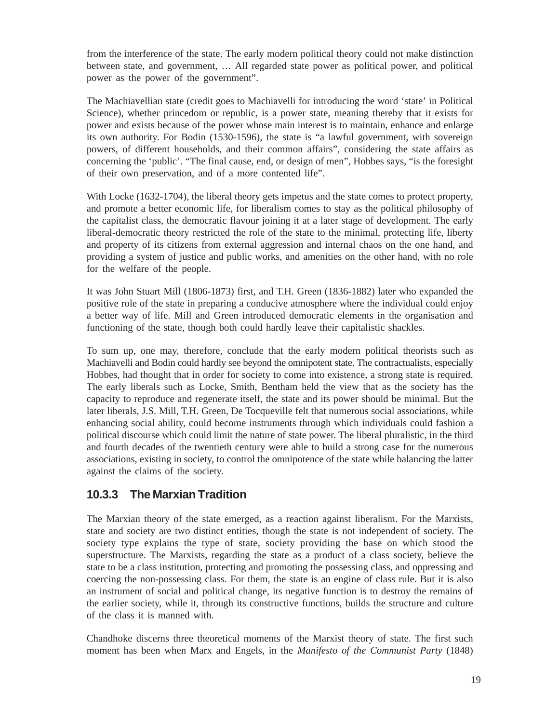from the interference of the state. The early modern political theory could not make distinction between state, and government, … All regarded state power as political power, and political power as the power of the government".

The Machiavellian state (credit goes to Machiavelli for introducing the word 'state' in Political Science), whether princedom or republic, is a power state, meaning thereby that it exists for power and exists because of the power whose main interest is to maintain, enhance and enlarge its own authority. For Bodin (1530-1596), the state is "a lawful government, with sovereign powers, of different households, and their common affairs", considering the state affairs as concerning the 'public'. "The final cause, end, or design of men", Hobbes says, "is the foresight of their own preservation, and of a more contented life".

With Locke (1632-1704), the liberal theory gets impetus and the state comes to protect property, and promote a better economic life, for liberalism comes to stay as the political philosophy of the capitalist class, the democratic flavour joining it at a later stage of development. The early liberal-democratic theory restricted the role of the state to the minimal, protecting life, liberty and property of its citizens from external aggression and internal chaos on the one hand, and providing a system of justice and public works, and amenities on the other hand, with no role for the welfare of the people.

It was John Stuart Mill (1806-1873) first, and T.H. Green (1836-1882) later who expanded the positive role of the state in preparing a conducive atmosphere where the individual could enjoy a better way of life. Mill and Green introduced democratic elements in the organisation and functioning of the state, though both could hardly leave their capitalistic shackles.

To sum up, one may, therefore, conclude that the early modern political theorists such as Machiavelli and Bodin could hardly see beyond the omnipotent state. The contractualists, especially Hobbes, had thought that in order for society to come into existence, a strong state is required. The early liberals such as Locke, Smith, Bentham held the view that as the society has the capacity to reproduce and regenerate itself, the state and its power should be minimal. But the later liberals, J.S. Mill, T.H. Green, De Tocqueville felt that numerous social associations, while enhancing social ability, could become instruments through which individuals could fashion a political discourse which could limit the nature of state power. The liberal pluralistic, in the third and fourth decades of the twentieth century were able to build a strong case for the numerous associations, existing in society, to control the omnipotence of the state while balancing the latter against the claims of the society.

#### **10.3.3 The Marxian Tradition**

The Marxian theory of the state emerged, as a reaction against liberalism. For the Marxists, state and society are two distinct entities, though the state is not independent of society. The society type explains the type of state, society providing the base on which stood the superstructure. The Marxists, regarding the state as a product of a class society, believe the state to be a class institution, protecting and promoting the possessing class, and oppressing and coercing the non-possessing class. For them, the state is an engine of class rule. But it is also an instrument of social and political change, its negative function is to destroy the remains of the earlier society, while it, through its constructive functions, builds the structure and culture of the class it is manned with.

Chandhoke discerns three theoretical moments of the Marxist theory of state. The first such moment has been when Marx and Engels, in the *Manifesto of the Communist Party* (1848)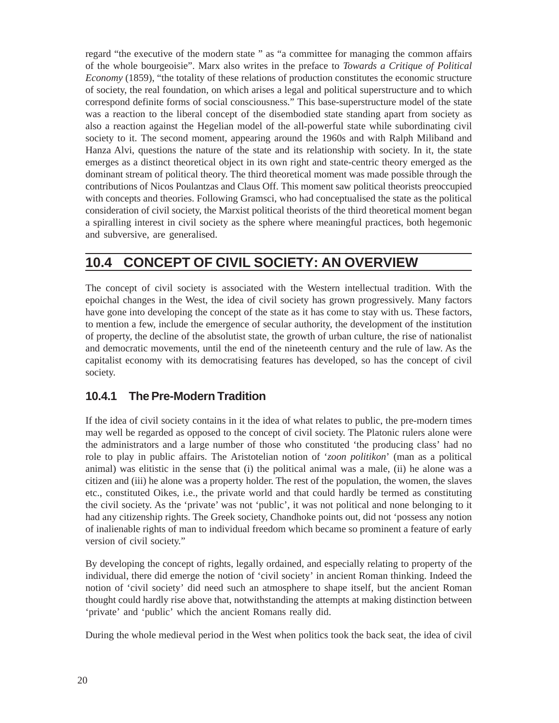regard "the executive of the modern state " as "a committee for managing the common affairs of the whole bourgeoisie". Marx also writes in the preface to *Towards a Critique of Political Economy* (1859), "the totality of these relations of production constitutes the economic structure of society, the real foundation, on which arises a legal and political superstructure and to which correspond definite forms of social consciousness." This base-superstructure model of the state was a reaction to the liberal concept of the disembodied state standing apart from society as also a reaction against the Hegelian model of the all-powerful state while subordinating civil society to it. The second moment, appearing around the 1960s and with Ralph Miliband and Hanza Alvi, questions the nature of the state and its relationship with society. In it, the state emerges as a distinct theoretical object in its own right and state-centric theory emerged as the dominant stream of political theory. The third theoretical moment was made possible through the contributions of Nicos Poulantzas and Claus Off. This moment saw political theorists preoccupied with concepts and theories. Following Gramsci, who had conceptualised the state as the political consideration of civil society, the Marxist political theorists of the third theoretical moment began a spiralling interest in civil society as the sphere where meaningful practices, both hegemonic and subversive, are generalised.

### **10.4 CONCEPT OF CIVIL SOCIETY: AN OVERVIEW**

The concept of civil society is associated with the Western intellectual tradition. With the epoichal changes in the West, the idea of civil society has grown progressively. Many factors have gone into developing the concept of the state as it has come to stay with us. These factors, to mention a few, include the emergence of secular authority, the development of the institution of property, the decline of the absolutist state, the growth of urban culture, the rise of nationalist and democratic movements, until the end of the nineteenth century and the rule of law. As the capitalist economy with its democratising features has developed, so has the concept of civil society.

### **10.4.1 The Pre-Modern Tradition**

If the idea of civil society contains in it the idea of what relates to public, the pre-modern times may well be regarded as opposed to the concept of civil society. The Platonic rulers alone were the administrators and a large number of those who constituted 'the producing class' had no role to play in public affairs. The Aristotelian notion of '*zoon politikon*' (man as a political animal) was elitistic in the sense that (i) the political animal was a male, (ii) he alone was a citizen and (iii) he alone was a property holder. The rest of the population, the women, the slaves etc., constituted Oikes, i.e., the private world and that could hardly be termed as constituting the civil society. As the 'private' was not 'public', it was not political and none belonging to it had any citizenship rights. The Greek society, Chandhoke points out, did not 'possess any notion of inalienable rights of man to individual freedom which became so prominent a feature of early version of civil society."

By developing the concept of rights, legally ordained, and especially relating to property of the individual, there did emerge the notion of 'civil society' in ancient Roman thinking. Indeed the notion of 'civil society' did need such an atmosphere to shape itself, but the ancient Roman thought could hardly rise above that, notwithstanding the attempts at making distinction between 'private' and 'public' which the ancient Romans really did.

During the whole medieval period in the West when politics took the back seat, the idea of civil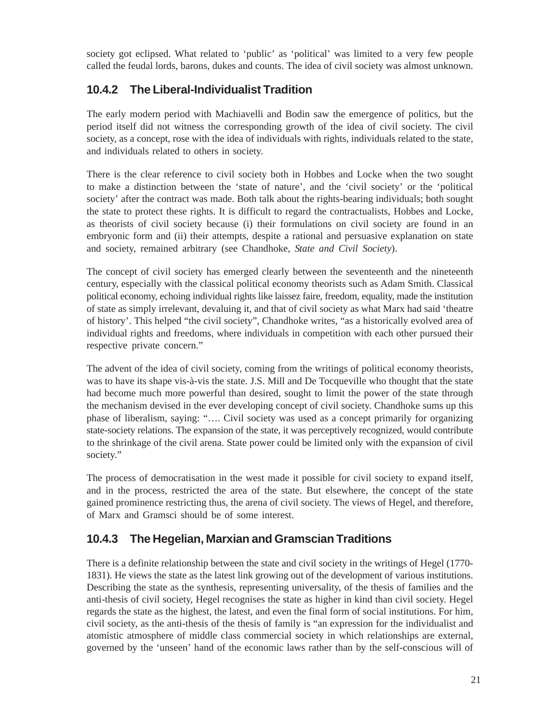society got eclipsed. What related to 'public' as 'political' was limited to a very few people called the feudal lords, barons, dukes and counts. The idea of civil society was almost unknown.

#### **10.4.2 The Liberal-Individualist Tradition**

The early modern period with Machiavelli and Bodin saw the emergence of politics, but the period itself did not witness the corresponding growth of the idea of civil society. The civil society, as a concept, rose with the idea of individuals with rights, individuals related to the state, and individuals related to others in society.

There is the clear reference to civil society both in Hobbes and Locke when the two sought to make a distinction between the 'state of nature', and the 'civil society' or the 'political society' after the contract was made. Both talk about the rights-bearing individuals; both sought the state to protect these rights. It is difficult to regard the contractualists, Hobbes and Locke, as theorists of civil society because (i) their formulations on civil society are found in an embryonic form and (ii) their attempts, despite a rational and persuasive explanation on state and society, remained arbitrary (see Chandhoke, *State and Civil Society*).

The concept of civil society has emerged clearly between the seventeenth and the nineteenth century, especially with the classical political economy theorists such as Adam Smith. Classical political economy, echoing individual rights like laissez faire, freedom, equality, made the institution of state as simply irrelevant, devaluing it, and that of civil society as what Marx had said 'theatre of history'. This helped "the civil society", Chandhoke writes, "as a historically evolved area of individual rights and freedoms, where individuals in competition with each other pursued their respective private concern."

The advent of the idea of civil society, coming from the writings of political economy theorists, was to have its shape vis-à-vis the state. J.S. Mill and De Tocqueville who thought that the state had become much more powerful than desired, sought to limit the power of the state through the mechanism devised in the ever developing concept of civil society. Chandhoke sums up this phase of liberalism, saying: "…. Civil society was used as a concept primarily for organizing state-society relations. The expansion of the state, it was perceptively recognized, would contribute to the shrinkage of the civil arena. State power could be limited only with the expansion of civil society."

The process of democratisation in the west made it possible for civil society to expand itself, and in the process, restricted the area of the state. But elsewhere, the concept of the state gained prominence restricting thus, the arena of civil society. The views of Hegel, and therefore, of Marx and Gramsci should be of some interest.

### **10.4.3 The Hegelian, Marxian and Gramscian Traditions**

There is a definite relationship between the state and civil society in the writings of Hegel (1770- 1831). He views the state as the latest link growing out of the development of various institutions. Describing the state as the synthesis, representing universality, of the thesis of families and the anti-thesis of civil society, Hegel recognises the state as higher in kind than civil society. Hegel regards the state as the highest, the latest, and even the final form of social institutions. For him, civil society, as the anti-thesis of the thesis of family is "an expression for the individualist and atomistic atmosphere of middle class commercial society in which relationships are external, governed by the 'unseen' hand of the economic laws rather than by the self-conscious will of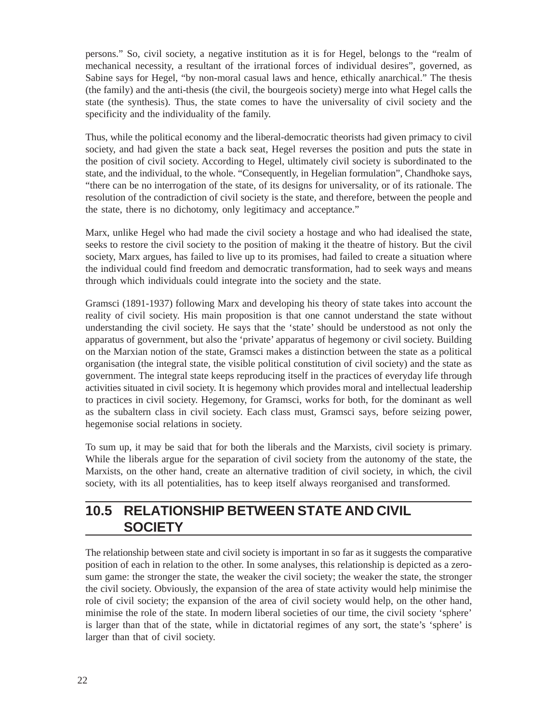persons." So, civil society, a negative institution as it is for Hegel, belongs to the "realm of mechanical necessity, a resultant of the irrational forces of individual desires", governed, as Sabine says for Hegel, "by non-moral casual laws and hence, ethically anarchical." The thesis (the family) and the anti-thesis (the civil, the bourgeois society) merge into what Hegel calls the state (the synthesis). Thus, the state comes to have the universality of civil society and the specificity and the individuality of the family.

Thus, while the political economy and the liberal-democratic theorists had given primacy to civil society, and had given the state a back seat, Hegel reverses the position and puts the state in the position of civil society. According to Hegel, ultimately civil society is subordinated to the state, and the individual, to the whole. "Consequently, in Hegelian formulation", Chandhoke says, "there can be no interrogation of the state, of its designs for universality, or of its rationale. The resolution of the contradiction of civil society is the state, and therefore, between the people and the state, there is no dichotomy, only legitimacy and acceptance."

Marx, unlike Hegel who had made the civil society a hostage and who had idealised the state, seeks to restore the civil society to the position of making it the theatre of history. But the civil society, Marx argues, has failed to live up to its promises, had failed to create a situation where the individual could find freedom and democratic transformation, had to seek ways and means through which individuals could integrate into the society and the state.

Gramsci (1891-1937) following Marx and developing his theory of state takes into account the reality of civil society. His main proposition is that one cannot understand the state without understanding the civil society. He says that the 'state' should be understood as not only the apparatus of government, but also the 'private' apparatus of hegemony or civil society. Building on the Marxian notion of the state, Gramsci makes a distinction between the state as a political organisation (the integral state, the visible political constitution of civil society) and the state as government. The integral state keeps reproducing itself in the practices of everyday life through activities situated in civil society. It is hegemony which provides moral and intellectual leadership to practices in civil society. Hegemony, for Gramsci, works for both, for the dominant as well as the subaltern class in civil society. Each class must, Gramsci says, before seizing power, hegemonise social relations in society.

To sum up, it may be said that for both the liberals and the Marxists, civil society is primary. While the liberals argue for the separation of civil society from the autonomy of the state, the Marxists, on the other hand, create an alternative tradition of civil society, in which, the civil society, with its all potentialities, has to keep itself always reorganised and transformed.

### **10.5 RELATIONSHIP BETWEEN STATE AND CIVIL SOCIETY**

The relationship between state and civil society is important in so far as it suggests the comparative position of each in relation to the other. In some analyses, this relationship is depicted as a zerosum game: the stronger the state, the weaker the civil society; the weaker the state, the stronger the civil society. Obviously, the expansion of the area of state activity would help minimise the role of civil society; the expansion of the area of civil society would help, on the other hand, minimise the role of the state. In modern liberal societies of our time, the civil society 'sphere' is larger than that of the state, while in dictatorial regimes of any sort, the state's 'sphere' is larger than that of civil society.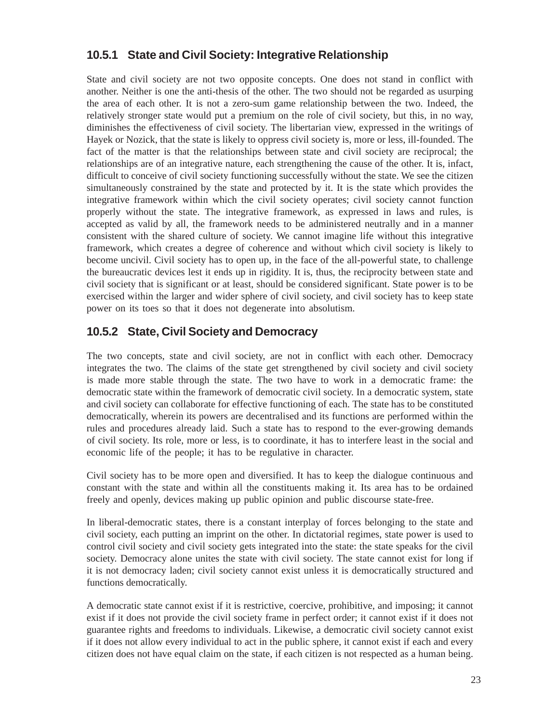#### **10.5.1 State and Civil Society: Integrative Relationship**

State and civil society are not two opposite concepts. One does not stand in conflict with another. Neither is one the anti-thesis of the other. The two should not be regarded as usurping the area of each other. It is not a zero-sum game relationship between the two. Indeed, the relatively stronger state would put a premium on the role of civil society, but this, in no way, diminishes the effectiveness of civil society. The libertarian view, expressed in the writings of Hayek or Nozick, that the state is likely to oppress civil society is, more or less, ill-founded. The fact of the matter is that the relationships between state and civil society are reciprocal; the relationships are of an integrative nature, each strengthening the cause of the other. It is, infact, difficult to conceive of civil society functioning successfully without the state. We see the citizen simultaneously constrained by the state and protected by it. It is the state which provides the integrative framework within which the civil society operates; civil society cannot function properly without the state. The integrative framework, as expressed in laws and rules, is accepted as valid by all, the framework needs to be administered neutrally and in a manner consistent with the shared culture of society. We cannot imagine life without this integrative framework, which creates a degree of coherence and without which civil society is likely to become uncivil. Civil society has to open up, in the face of the all-powerful state, to challenge the bureaucratic devices lest it ends up in rigidity. It is, thus, the reciprocity between state and civil society that is significant or at least, should be considered significant. State power is to be exercised within the larger and wider sphere of civil society, and civil society has to keep state power on its toes so that it does not degenerate into absolutism.

#### **10.5.2 State, Civil Society and Democracy**

The two concepts, state and civil society, are not in conflict with each other. Democracy integrates the two. The claims of the state get strengthened by civil society and civil society is made more stable through the state. The two have to work in a democratic frame: the democratic state within the framework of democratic civil society. In a democratic system, state and civil society can collaborate for effective functioning of each. The state has to be constituted democratically, wherein its powers are decentralised and its functions are performed within the rules and procedures already laid. Such a state has to respond to the ever-growing demands of civil society. Its role, more or less, is to coordinate, it has to interfere least in the social and economic life of the people; it has to be regulative in character.

Civil society has to be more open and diversified. It has to keep the dialogue continuous and constant with the state and within all the constituents making it. Its area has to be ordained freely and openly, devices making up public opinion and public discourse state-free.

In liberal-democratic states, there is a constant interplay of forces belonging to the state and civil society, each putting an imprint on the other. In dictatorial regimes, state power is used to control civil society and civil society gets integrated into the state: the state speaks for the civil society. Democracy alone unites the state with civil society. The state cannot exist for long if it is not democracy laden; civil society cannot exist unless it is democratically structured and functions democratically.

A democratic state cannot exist if it is restrictive, coercive, prohibitive, and imposing; it cannot exist if it does not provide the civil society frame in perfect order; it cannot exist if it does not guarantee rights and freedoms to individuals. Likewise, a democratic civil society cannot exist if it does not allow every individual to act in the public sphere, it cannot exist if each and every citizen does not have equal claim on the state, if each citizen is not respected as a human being.